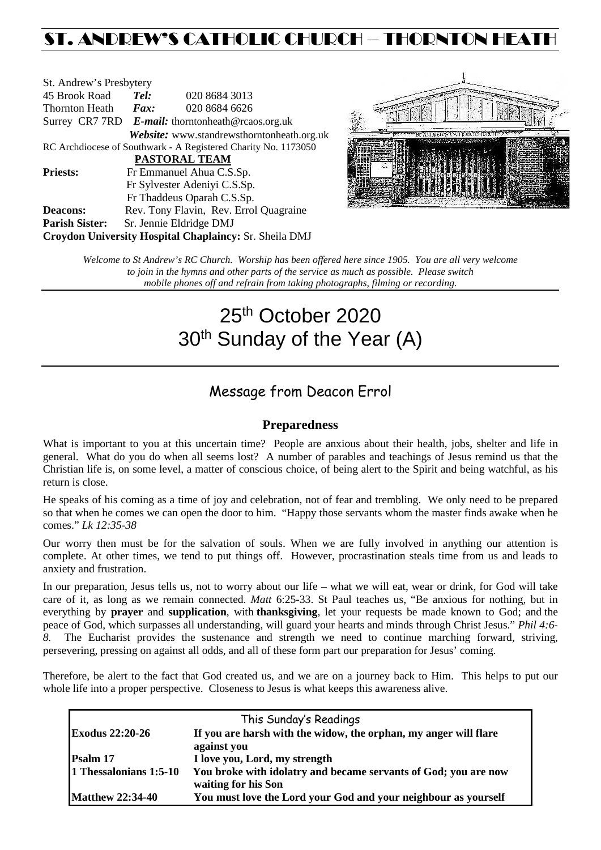## ST. ANDREW'S CATHOLIC CHURCH – THORNTON HEATH

| St. Andrew's Presbytery                                        |                              |                                                      |  |
|----------------------------------------------------------------|------------------------------|------------------------------------------------------|--|
| 45 Brook Road                                                  | Tel:                         | 020 8684 3013                                        |  |
| Thornton Heath                                                 | $\boldsymbol{F}$ <i>ax</i> : | 020 8684 6626                                        |  |
|                                                                |                              | Surrey CR7 7RD $E$ -mail: thorntonheath@rcaos.org.uk |  |
|                                                                |                              | Website: www.standrewsthorntonheath.org.uk           |  |
| RC Archdiocese of Southwark - A Registered Charity No. 1173050 |                              |                                                      |  |
| PASTORAL TEAM                                                  |                              |                                                      |  |
| <b>Priests:</b>                                                |                              | Fr Emmanuel Ahua C.S.Sp.                             |  |
|                                                                |                              | Fr Sylvester Adeniyi C.S.Sp.                         |  |
|                                                                |                              | Fr Thaddeus Oparah C.S.Sp.                           |  |
| <b>Deacons:</b>                                                |                              | Rev. Tony Flavin, Rev. Errol Quagraine               |  |
| <b>Parish Sister:</b>                                          |                              | Sr. Jennie Eldridge DMJ                              |  |
| Croydon University Hospital Chaplaincy: Sr. Sheila DMJ         |                              |                                                      |  |



*Welcome to St Andrew's RC Church. Worship has been offered here since 1905. You are all very welcome to join in the hymns and other parts of the service as much as possible. Please switch mobile phones off and refrain from taking photographs, filming or recording.*

# 25<sup>th</sup> October 2020 30<sup>th</sup> Sunday of the Year (A)

## Message from Deacon Errol

#### **Preparedness**

What is important to you at this uncertain time? People are anxious about their health, jobs, shelter and life in general. What do you do when all seems lost? A number of parables and teachings of Jesus remind us that the Christian life is, on some level, a matter of conscious choice, of being alert to the Spirit and being watchful, as his return is close.

He speaks of his coming as a time of joy and celebration, not of fear and trembling. We only need to be prepared so that when he comes we can open the door to him. "Happy those servants whom the master finds awake when he comes." *Lk 12:35-38*

Our worry then must be for the salvation of souls. When we are fully involved in anything our attention is complete. At other times, we tend to put things off. However, procrastination steals time from us and leads to anxiety and frustration.

In our preparation, Jesus tells us, not to worry about our life – what we will eat, wear or drink, for God will take care of it, as long as we remain connected. *Matt* 6:25-33. St Paul teaches us, "Be anxious for nothing, but in everything by **prayer** and **supplication**, with **thanksgiving**, let your requests be made known to God; and the peace of God, which surpasses all understanding, will guard your hearts and minds through Christ Jesus." *Phil 4:6- 8.* The Eucharist provides the sustenance and strength we need to continue marching forward, striving, persevering, pressing on against all odds, and all of these form part our preparation for Jesus' coming.

Therefore, be alert to the fact that God created us, and we are on a journey back to Him. This helps to put our whole life into a proper perspective. Closeness to Jesus is what keeps this awareness alive.

| This Sunday's Readings  |                                                                  |  |  |
|-------------------------|------------------------------------------------------------------|--|--|
| <b>Exodus 22:20-26</b>  | If you are harsh with the widow, the orphan, my anger will flare |  |  |
|                         | against you                                                      |  |  |
| Psalm 17                | I love you, Lord, my strength                                    |  |  |
| 1 Thessalonians 1:5-10  | You broke with idolatry and became servants of God; you are now  |  |  |
|                         | waiting for his Son                                              |  |  |
| <b>Matthew 22:34-40</b> | You must love the Lord your God and your neighbour as yourself   |  |  |